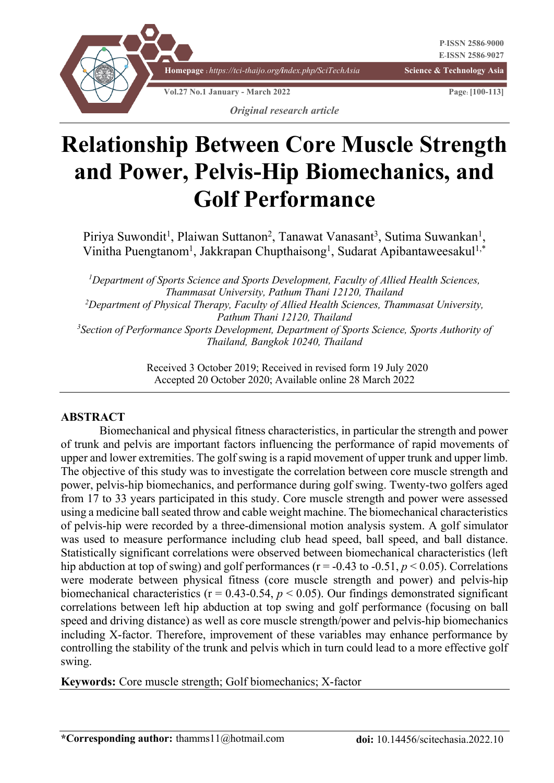

# **Relationship Between Core Muscle Strength and Power, Pelvis-Hip Biomechanics, and Golf Performance**

Piriya Suwondit<sup>1</sup>, Plaiwan Suttanon<sup>2</sup>, Tanawat Vanasant<sup>3</sup>, Sutima Suwankan<sup>1</sup>, Vinitha Puengtanom<sup>1</sup>, Jakkrapan Chupthaisong<sup>1</sup>, Sudarat Apibantaweesakul<sup>1,\*</sup>

<sup>1</sup>Department of Sports Science and Sports Development, Faculty of Allied Health Sciences, *Thammasat University, Pathum Thani 12120, Thailand 2 Department of Physical Therapy, Faculty of Allied Health Sciences, Thammasat University, Pathum Thani 12120, Thailand 3 Section of Performance Sports Development, Department of Sports Science, Sports Authority of Thailand, Bangkok 10240, Thailand*

> Received 3 October 2019; Received in revised form 19 July 2020 Accepted 20 October 2020; Available online 28 March 2022

#### **ABSTRACT**

Biomechanical and physical fitness characteristics, in particular the strength and power of trunk and pelvis are important factors influencing the performance of rapid movements of upper and lower extremities. The golf swing is a rapid movement of upper trunk and upper limb. The objective of this study was to investigate the correlation between core muscle strength and power, pelvis-hip biomechanics, and performance during golf swing. Twenty-two golfers aged from 17 to 33 years participated in this study. Core muscle strength and power were assessed using a medicine ball seated throw and cable weight machine. The biomechanical characteristics of pelvis-hip were recorded by a three-dimensional motion analysis system. A golf simulator was used to measure performance including club head speed, ball speed, and ball distance. Statistically significant correlations were observed between biomechanical characteristics (left hip abduction at top of swing) and golf performances ( $r = -0.43$  to  $-0.51$ ,  $p < 0.05$ ). Correlations were moderate between physical fitness (core muscle strength and power) and pelvis-hip biomechanical characteristics ( $r = 0.43 - 0.54$ ,  $p < 0.05$ ). Our findings demonstrated significant correlations between left hip abduction at top swing and golf performance (focusing on ball speed and driving distance) as well as core muscle strength/power and pelvis-hip biomechanics including X-factor. Therefore, improvement of these variables may enhance performance by controlling the stability of the trunk and pelvis which in turn could lead to a more effective golf swing.

**Keywords:** Core muscle strength; Golf biomechanics; X-factor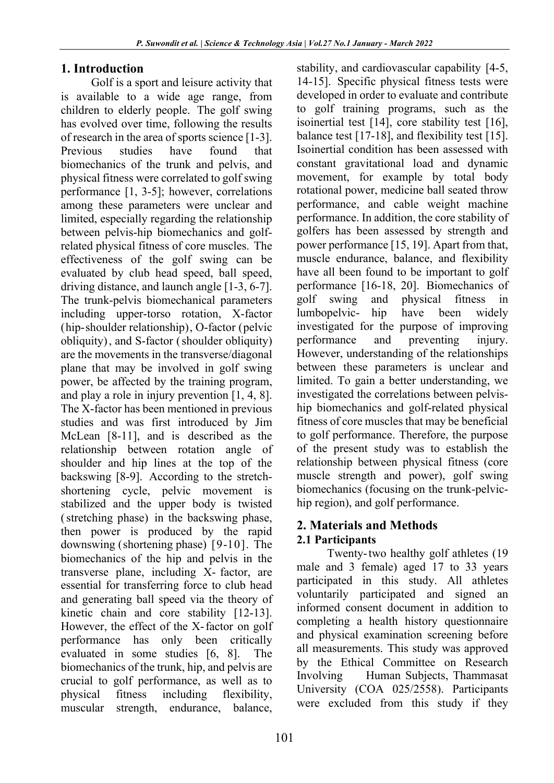# **1. Introduction**

Golf is a sport and leisure activity that is available to a wide age range, from children to elderly people. The golf swing has evolved over time, following the results of research in the area of sports science [1-3]. Previous studies have found that biomechanics of the trunk and pelvis, and physical fitness were correlated to golf swing performance [1, 3-5]; however, correlations among these parameters were unclear and limited, especially regarding the relationship between pelvis-hip biomechanics and golfrelated physical fitness of core muscles. The effectiveness of the golf swing can be evaluated by club head speed, ball speed, driving distance, and launch angle [1-3, 6-7]. The trunk-pelvis biomechanical parameters including upper-torso rotation, X-factor (hip‑shoulder relationship), O-factor (pelvic obliquity), and S-factor (shoulder obliquity) are the movements in the transverse/diagonal plane that may be involved in golf swing power, be affected by the training program, and play a role in injury prevention [1, 4, 8]. The X-factor has been mentioned in previous studies and was first introduced by Jim McLean [8-11], and is described as the relationship between rotation angle of shoulder and hip lines at the top of the backswing [8-9]. According to the stretchshortening cycle, pelvic movement is stabilized and the upper body is twisted (stretching phase) in the backswing phase, then power is produced by the rapid downswing (shortening phase) [9-10]. The biomechanics of the hip and pelvis in the transverse plane, including X- factor, are essential for transferring force to club head and generating ball speed via the theory of kinetic chain and core stability [12-13]. However, the effect of the X-factor on golf performance has only been critically evaluated in some studies [6, 8]. The biomechanics of the trunk, hip, and pelvis are crucial to golf performance, as well as to physical fitness including flexibility, muscular strength, endurance, balance, stability, and cardiovascular capability [4-5, 14-15]. Specific physical fitness tests were developed in order to evaluate and contribute to golf training programs, such as the isoinertial test [14], core stability test [16], balance test [17-18], and flexibility test [15]. Isoinertial condition has been assessed with constant gravitational load and dynamic movement, for example by total body rotational power, medicine ball seated throw performance, and cable weight machine performance. In addition, the core stability of golfers has been assessed by strength and power performance [15, 19]. Apart from that, muscle endurance, balance, and flexibility have all been found to be important to golf performance [16-18, 20]. Biomechanics of golf swing and physical fitness in lumbopelvic- hip have been widely investigated for the purpose of improving performance and preventing injury. However, understanding of the relationships between these parameters is unclear and limited. To gain a better understanding, we investigated the correlations between pelviship biomechanics and golf-related physical fitness of core muscles that may be beneficial to golf performance. Therefore, the purpose of the present study was to establish the relationship between physical fitness (core muscle strength and power), golf swing biomechanics (focusing on the trunk-pelvichip region), and golf performance.

# **2. Materials and Methods 2.1 Participants**

Twenty-two healthy golf athletes (19 male and 3 female) aged 17 to 33 years participated in this study. All athletes voluntarily participated and signed an informed consent document in addition to completing a health history questionnaire and physical examination screening before all measurements. This study was approved by the Ethical Committee on Research Involving Human Subjects, Thammasat University (COA 025/2558). Participants were excluded from this study if they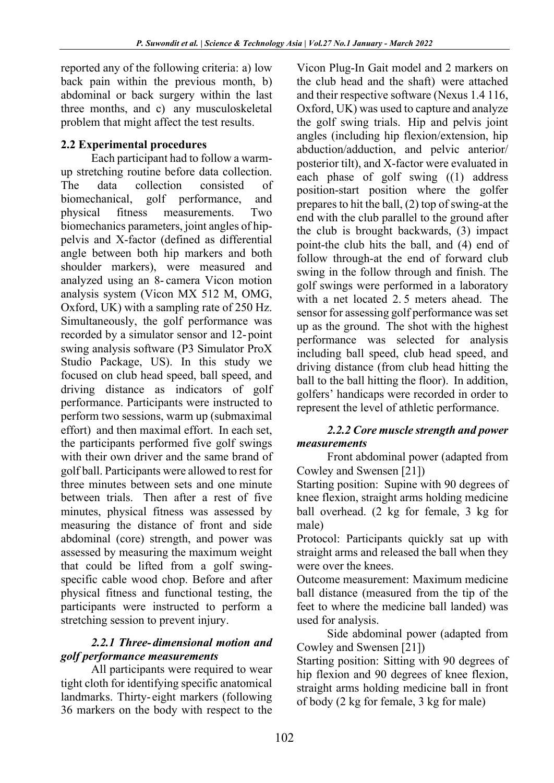reported any of the following criteria: a) low back pain within the previous month, b) abdominal or back surgery within the last three months, and c) any musculoskeletal problem that might affect the test results.

# **2.2 Experimental procedures**

Each participant had to follow a warmup stretching routine before data collection. The data collection consisted of biomechanical, golf performance, and physical fitness measurements. Two biomechanics parameters, joint angles of hippelvis and X-factor (defined as differential angle between both hip markers and both shoulder markers), were measured and analyzed using an 8- camera Vicon motion analysis system (Vicon MX 512 M, OMG, Oxford, UK) with a sampling rate of 250 Hz. Simultaneously, the golf performance was recorded by a simulator sensor and 12-point swing analysis software (P3 Simulator ProX Studio Package, US). In this study we focused on club head speed, ball speed, and driving distance as indicators of golf performance. Participants were instructed to perform two sessions, warm up (submaximal effort) and then maximal effort. In each set, the participants performed five golf swings with their own driver and the same brand of golf ball. Participants were allowed to rest for three minutes between sets and one minute between trials. Then after a rest of five minutes, physical fitness was assessed by measuring the distance of front and side abdominal (core) strength, and power was assessed by measuring the maximum weight that could be lifted from a golf swingspecific cable wood chop. Before and after physical fitness and functional testing, the participants were instructed to perform a stretching session to prevent injury.

# *2.2.1 Three-dimensional motion and golf performance measurements*

All participants were required to wear tight cloth for identifying specific anatomical landmarks. Thirty- eight markers (following 36 markers on the body with respect to the Vicon Plug-In Gait model and 2 markers on the club head and the shaft) were attached and their respective software (Nexus 1.4 116, Oxford, UK) was used to capture and analyze the golf swing trials. Hip and pelvis joint angles (including hip flexion/extension, hip abduction/adduction, and pelvic anterior/ posterior tilt), and X-factor were evaluated in each phase of golf swing ((1) address position-start position where the golfer prepares to hit the ball, (2) top of swing-at the end with the club parallel to the ground after the club is brought backwards, (3) impact point-the club hits the ball, and (4) end of follow through-at the end of forward club swing in the follow through and finish. The golf swings were performed in a laboratory with a net located 2. 5 meters ahead. The sensor for assessing golf performance was set up as the ground. The shot with the highest performance was selected for analysis including ball speed, club head speed, and driving distance (from club head hitting the ball to the ball hitting the floor). In addition, golfers' handicaps were recorded in order to represent the level of athletic performance.

#### *2.2.2 Core muscle strength and power measurements*

Front abdominal power (adapted from Cowley and Swensen [21])

Starting position: Supine with 90 degrees of knee flexion, straight arms holding medicine ball overhead. (2 kg for female, 3 kg for male)

Protocol: Participants quickly sat up with straight arms and released the ball when they were over the knees.

Outcome measurement: Maximum medicine ball distance (measured from the tip of the feet to where the medicine ball landed) was used for analysis.

Side abdominal power (adapted from Cowley and Swensen [21])

Starting position: Sitting with 90 degrees of hip flexion and 90 degrees of knee flexion, straight arms holding medicine ball in front of body (2 kg for female, 3 kg for male)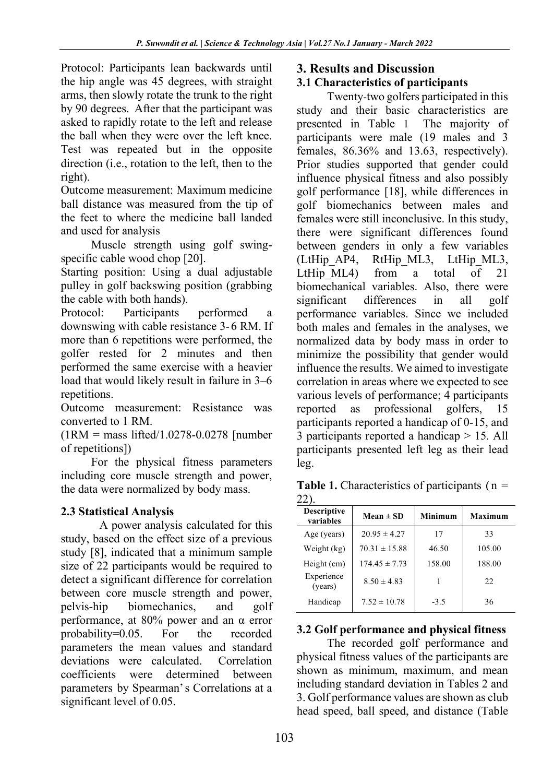Protocol: Participants lean backwards until the hip angle was 45 degrees, with straight arms, then slowly rotate the trunk to the right by 90 degrees. After that the participant was asked to rapidly rotate to the left and release the ball when they were over the left knee. Test was repeated but in the opposite direction (i.e., rotation to the left, then to the right).

Outcome measurement: Maximum medicine ball distance was measured from the tip of the feet to where the medicine ball landed and used for analysis

Muscle strength using golf swingspecific cable wood chop [20].

Starting position: Using a dual adjustable pulley in golf backswing position (grabbing the cable with both hands).

Protocol: Participants performed a downswing with cable resistance 3-6 RM. If more than 6 repetitions were performed, the golfer rested for 2 minutes and then performed the same exercise with a heavier load that would likely result in failure in 3–6 repetitions.

Outcome measurement: Resistance was converted to 1 RM.

(1RM = mass lifted/1.0278-0.0278 [number of repetitions])

For the physical fitness parameters including core muscle strength and power, the data were normalized by body mass.

# **2.3 Statistical Analysis**

A power analysis calculated for this study, based on the effect size of a previous study [8], indicated that a minimum sample size of 22 participants would be required to detect a significant difference for correlation between core muscle strength and power, pelvis-hip biomechanics, and golf performance, at 80% power and an α error probability=0.05. For the recorded parameters the mean values and standard deviations were calculated. Correlation coefficients were determined between parameters by Spearman's Correlations at a significant level of 0.05.

# **3. Results and Discussion**

# **3.1 Characteristics of participants**

Twenty-two golfers participated in this study and their basic characteristics are presented in Table 1 The majority of participants were male (19 males and 3 females, 86.36% and 13.63, respectively). Prior studies supported that gender could influence physical fitness and also possibly golf performance [18], while differences in golf biomechanics between males and females were still inconclusive. In this study, there were significant differences found between genders in only a few variables (LtHip\_AP4, RtHip\_ML3, LtHip\_ML3, LtHip ML4) from a total of 21 biomechanical variables. Also, there were significant differences in all golf performance variables. Since we included both males and females in the analyses, we normalized data by body mass in order to minimize the possibility that gender would influence the results. We aimed to investigate correlation in areas where we expected to see various levels of performance; 4 participants reported as professional golfers, 15 participants reported a handicap of 0-15, and 3 participants reported a handicap > 15. All participants presented left leg as their lead leg.

| <b>Table 1.</b> Characteristics of participants ( $n =$ |  |
|---------------------------------------------------------|--|
| $22$ ).                                                 |  |

| <b>Descriptive</b><br>variables | $Mean \pm SD$     | Minimum | Maximum |
|---------------------------------|-------------------|---------|---------|
| Age (years)                     | $20.95 \pm 4.27$  | 17      | 33      |
| Weight (kg)                     | $70.31 \pm 15.88$ | 46.50   | 105.00  |
| Height (cm)                     | $174.45 \pm 7.73$ | 158.00  | 188.00  |
| Experience<br>(years)           | $8.50 \pm 4.83$   |         | 22      |
| Handicap                        | $7.52 \pm 10.78$  | $-3.5$  | 36      |

# **3.2 Golf performance and physical fitness**

The recorded golf performance and physical fitness values of the participants are shown as minimum, maximum, and mean including standard deviation in Tables 2 and 3. Golf performance values are shown as club head speed, ball speed, and distance (Table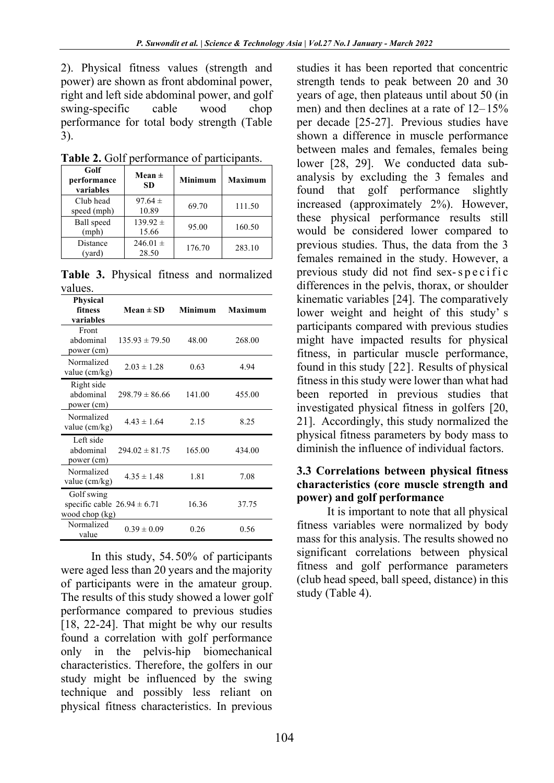2). Physical fitness values (strength and power) are shown as front abdominal power, right and left side abdominal power, and golf swing-specific cable wood chop performance for total body strength (Table 3).

| 1 avit 2. 9911<br>performance of participation. |                                           |        |                |  |
|-------------------------------------------------|-------------------------------------------|--------|----------------|--|
| Golf<br>performance<br>variables                | Mean $\pm$<br><b>Minimum</b><br><b>SD</b> |        | <b>Maximum</b> |  |
| Club head<br>speed (mph)                        | $97.64 \pm$<br>10.89                      | 69.70  | 111.50         |  |
| Ball speed<br>(mph)                             | $139.92 \pm$<br>15.66                     | 95.00  | 160.50         |  |
| Distance<br>(yard)                              | 246.01 $\pm$<br>28.50                     | 176.70 | 283.10         |  |

**Table 2.** Golf performance of participants.

**Table 3.** Physical fitness and normalized values.

| Physical<br>fitness<br>variables                                | $Mean \pm SD$      | Minimum | Maximum |
|-----------------------------------------------------------------|--------------------|---------|---------|
| Front<br>abdominal<br>power (cm)                                | $135.93 \pm 79.50$ | 48.00   | 268.00  |
| Normalized<br>value (cm/kg)                                     | $2.03 \pm 1.28$    | 0.63    | 4.94    |
| Right side<br>abdominal<br>power (cm)                           | $298.79 \pm 86.66$ | 141.00  | 455.00  |
| Normalized<br>value (cm/kg)                                     | $4.43 \pm 1.64$    | 2.15    | 8.25    |
| Left side<br>abdominal<br>power (cm)                            | $294.02 \pm 81.75$ | 165.00  | 434.00  |
| Normalized<br>value (cm/kg)                                     | $4.35 \pm 1.48$    | 1.81    | 7.08    |
| Golf swing<br>specific cable $26.94 \pm 6.71$<br>wood chop (kg) |                    | 16.36   | 37.75   |
| Normalized<br>value                                             | $0.39 \pm 0.09$    | 0.26    | 0.56    |

In this study, 54.50% of participants were aged less than 20 years and the majority of participants were in the amateur group. The results of this study showed a lower golf performance compared to previous studies [18, 22-24]. That might be why our results found a correlation with golf performance only in the pelvis-hip biomechanical characteristics. Therefore, the golfers in our study might be influenced by the swing technique and possibly less reliant on physical fitness characteristics. In previous

studies it has been reported that concentric strength tends to peak between 20 and 30 years of age, then plateaus until about 50 (in men) and then declines at a rate of 12–15% per decade [25-27]. Previous studies have shown a difference in muscle performance between males and females, females being lower [28, 29]. We conducted data subanalysis by excluding the 3 females and found that golf performance slightly increased (approximately 2%). However, these physical performance results still would be considered lower compared to previous studies. Thus, the data from the 3 females remained in the study. However, a previous study did not find sex-specific differences in the pelvis, thorax, or shoulder kinematic variables [24]. The comparatively lower weight and height of this study' s participants compared with previous studies might have impacted results for physical fitness, in particular muscle performance, found in this study [22]. Results of physical fitness in this study were lower than what had been reported in previous studies that investigated physical fitness in golfers [20, 21]. Accordingly, this study normalized the physical fitness parameters by body mass to diminish the influence of individual factors.

#### **3.3 Correlations between physical fitness characteristics (core muscle strength and power) and golf performance**

It is important to note that all physical fitness variables were normalized by body mass for this analysis. The results showed no significant correlations between physical fitness and golf performance parameters (club head speed, ball speed, distance) in this study (Table 4).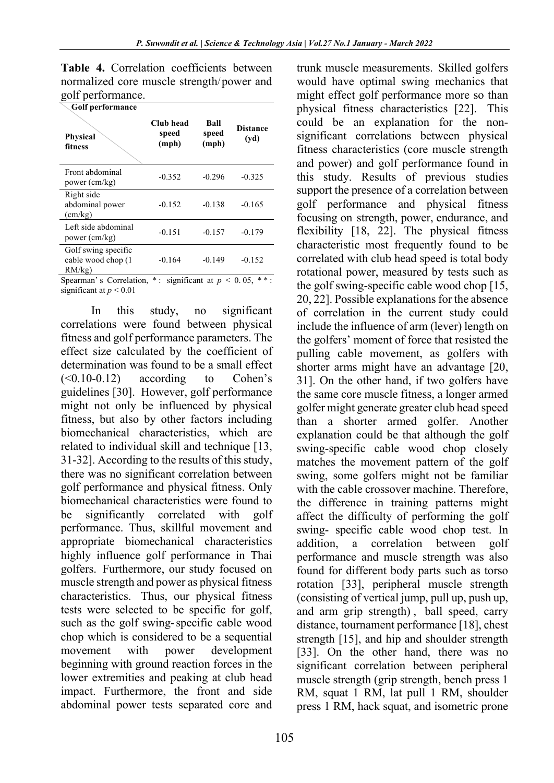|                   | Table 4. Correlation coefficients between |  |
|-------------------|-------------------------------------------|--|
|                   | normalized core muscle strength/power and |  |
| golf performance. |                                           |  |

| <b>Golf performance</b>                            |                             |                        |                         |
|----------------------------------------------------|-----------------------------|------------------------|-------------------------|
| <b>Physical</b><br>fitness                         | Club head<br>speed<br>(mph) | Ball<br>speed<br>(mph) | <b>Distance</b><br>(vd) |
| Front abdominal<br>power (cm/kg)                   | $-0.352$                    | $-0.296$               | $-0.325$                |
| Right side<br>abdominal power<br>(cm/kg)           | $-0.152$                    | $-0.138$               | $-0.165$                |
| Left side abdominal<br>power (cm/kg)               | $-0.151$                    | $-0.157$               | $-0.179$                |
| Golf swing specific<br>cable wood chop (1<br>RM/kg | $-0.164$                    | $-0.149$               | $-0.152$                |

Spearman's Correlation,  $*$ : significant at  $p < 0.05$ ,  $**$ : significant at *p* < 0.01

In this study, no significant correlations were found between physical fitness and golf performance parameters. The effect size calculated by the coefficient of determination was found to be a small effect  $(\leq 0.10 - 0.12)$  according to Cohen's guidelines [30]. However, golf performance might not only be influenced by physical fitness, but also by other factors including biomechanical characteristics, which are related to individual skill and technique [13, 31-32]. According to the results of this study, there was no significant correlation between golf performance and physical fitness. Only biomechanical characteristics were found to be significantly correlated with golf performance. Thus, skillful movement and appropriate biomechanical characteristics highly influence golf performance in Thai golfers. Furthermore, our study focused on muscle strength and power as physical fitness characteristics. Thus, our physical fitness tests were selected to be specific for golf, such as the golf swing-specific cable wood chop which is considered to be a sequential movement with power development beginning with ground reaction forces in the lower extremities and peaking at club head impact. Furthermore, the front and side abdominal power tests separated core and

trunk muscle measurements. Skilled golfers would have optimal swing mechanics that might effect golf performance more so than physical fitness characteristics [22]. This could be an explanation for the nonsignificant correlations between physical fitness characteristics (core muscle strength and power) and golf performance found in this study. Results of previous studies support the presence of a correlation between golf performance and physical fitness focusing on strength, power, endurance, and flexibility [18, 22]. The physical fitness characteristic most frequently found to be correlated with club head speed is total body rotational power, measured by tests such as the golf swing-specific cable wood chop [15, 20, 22]. Possible explanations for the absence of correlation in the current study could include the influence of arm (lever) length on the golfers' moment of force that resisted the pulling cable movement, as golfers with shorter arms might have an advantage [20, 31]. On the other hand, if two golfers have the same core muscle fitness, a longer armed golfer might generate greater club head speed than a shorter armed golfer. Another explanation could be that although the golf swing-specific cable wood chop closely matches the movement pattern of the golf swing, some golfers might not be familiar with the cable crossover machine. Therefore, the difference in training patterns might affect the difficulty of performing the golf swing- specific cable wood chop test. In addition, a correlation between golf performance and muscle strength was also found for different body parts such as torso rotation [33], peripheral muscle strength (consisting of vertical jump, pull up, push up, and arm grip strength) , ball speed, carry distance, tournament performance [18], chest strength [15], and hip and shoulder strength [33]. On the other hand, there was no significant correlation between peripheral muscle strength (grip strength, bench press 1 RM, squat 1 RM, lat pull 1 RM, shoulder press 1 RM, hack squat, and isometric prone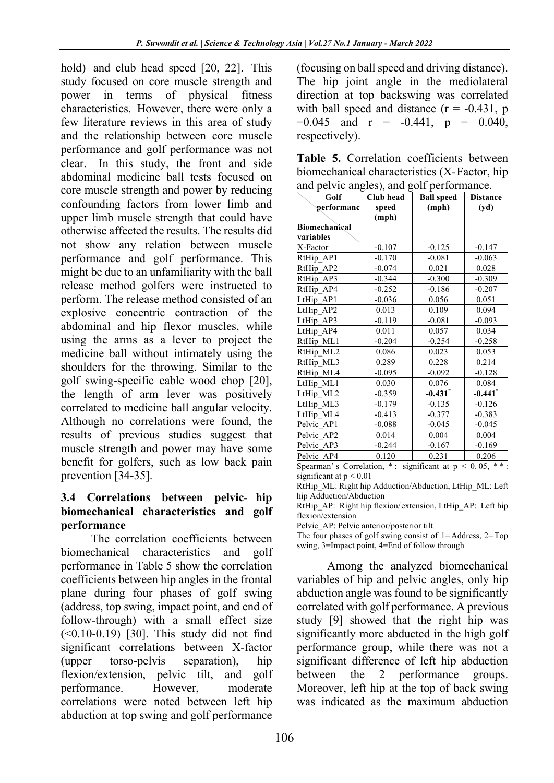hold) and club head speed [20, 22]. This study focused on core muscle strength and power in terms of physical fitness characteristics. However, there were only a few literature reviews in this area of study and the relationship between core muscle performance and golf performance was not clear. In this study, the front and side abdominal medicine ball tests focused on core muscle strength and power by reducing confounding factors from lower limb and upper limb muscle strength that could have otherwise affected the results. The results did not show any relation between muscle performance and golf performance. This might be due to an unfamiliarity with the ball release method golfers were instructed to perform. The release method consisted of an explosive concentric contraction of the abdominal and hip flexor muscles, while using the arms as a lever to project the medicine ball without intimately using the shoulders for the throwing. Similar to the golf swing-specific cable wood chop [20], the length of arm lever was positively correlated to medicine ball angular velocity. Although no correlations were found, the results of previous studies suggest that muscle strength and power may have some benefit for golfers, such as low back pain prevention [34-35].

#### **3.4 Correlations between pelvic- hip biomechanical characteristics and golf performance**

The correlation coefficients between biomechanical characteristics and golf performance in Table 5 show the correlation coefficients between hip angles in the frontal plane during four phases of golf swing (address, top swing, impact point, and end of follow-through) with a small effect size  $(<0.10-0.19)$  [30]. This study did not find significant correlations between X-factor (upper torso-pelvis separation), hip flexion/extension, pelvic tilt, and golf performance. However, moderate correlations were noted between left hip abduction at top swing and golf performance

(focusing on ball speed and driving distance). The hip joint angle in the mediolateral direction at top backswing was correlated with ball speed and distance  $(r = -0.431, p)$  $=0.045$  and  $r = -0.441$ ,  $p = 0.040$ , respectively).

|  | Table 5. Correlation coefficients between    |  |
|--|----------------------------------------------|--|
|  | biomechanical characteristics (X-Factor, hip |  |
|  | and pelvic angles), and golf performance.    |  |

| $\frac{1}{2}$<br>Golf | Club head | $\sim$<br><b>Ball speed</b> | <b>Distance</b>       |
|-----------------------|-----------|-----------------------------|-----------------------|
| performanc            | speed     | (mph)                       | (yd)                  |
|                       | (mph)     |                             |                       |
| <b>Biomechanical</b>  |           |                             |                       |
| variables             |           |                             |                       |
| X-Factor              | $-0.107$  | $-0.125$                    | $-0.147$              |
| RtHip AP1             | $-0.170$  | $-0.081$                    | $-0.063$              |
| RtHip AP2             | $-0.074$  | 0.021                       | 0.028                 |
| RtHip AP3             | $-0.344$  | $-0.300$                    | $-0.309$              |
| RtHip AP4             | $-0.252$  | $-0.186$                    | $-0.207$              |
| LtHip AP1             | $-0.036$  | 0.056                       | 0.051                 |
| LtHip AP2             | 0.013     | 0.109                       | 0.094                 |
| LtHip_AP3             | $-0.119$  | $-0.081$                    | $-0.093$              |
| LtHip AP4             | 0.011     | 0.057                       | 0.034                 |
| RtHip ML1             | $-0.204$  | $-0.254$                    | $-0.258$              |
| RtHip ML2             | 0.086     | 0.023                       | 0.053                 |
| RtHip ML3             | 0.289     | 0.228                       | 0.214                 |
| RtHip ML4             | $-0.095$  | $-0.092$                    | $-0.128$              |
| LtHip ML1             | 0.030     | 0.076                       | 0.084                 |
| LtHip ML2             | $-0.359$  | $-0.431$ *                  | $-0.441$ <sup>*</sup> |
| LtHip ML3             | $-0.179$  | $-0.135$                    | $-0.126$              |
| LtHip ML4             | $-0.413$  | $-0.377$                    | $-0.383$              |
| Pelvic AP1            | $-0.088$  | $-0.045$                    | $-0.045$              |
| Pelvic AP2            | 0.014     | 0.004                       | 0.004                 |
| Pelvic AP3            | $-0.244$  | $-0.167$                    | $-0.169$              |
| Pelvic AP4            | 0.120     | 0.231                       | 0.206                 |

Spearman's Correlation,  $*$ : significant at  $p < 0.05$ ,  $**$ : significant at  $p < 0.01$ 

RtHip\_AP: Right hip flexion/extension, LtHip\_AP: Left hip flexion/extension

Pelvic\_AP: Pelvic anterior/posterior tilt

The four phases of golf swing consist of  $1 =$ Address,  $2 =$ Top swing, 3=Impact point, 4=End of follow through

Among the analyzed biomechanical variables of hip and pelvic angles, only hip abduction angle was found to be significantly correlated with golf performance. A previous study [9] showed that the right hip was significantly more abducted in the high golf performance group, while there was not a significant difference of left hip abduction between the 2 performance groups. Moreover, left hip at the top of back swing was indicated as the maximum abduction

RtHip\_ML: Right hip Adduction/Abduction, LtHip\_ML: Left hip Adduction/Abduction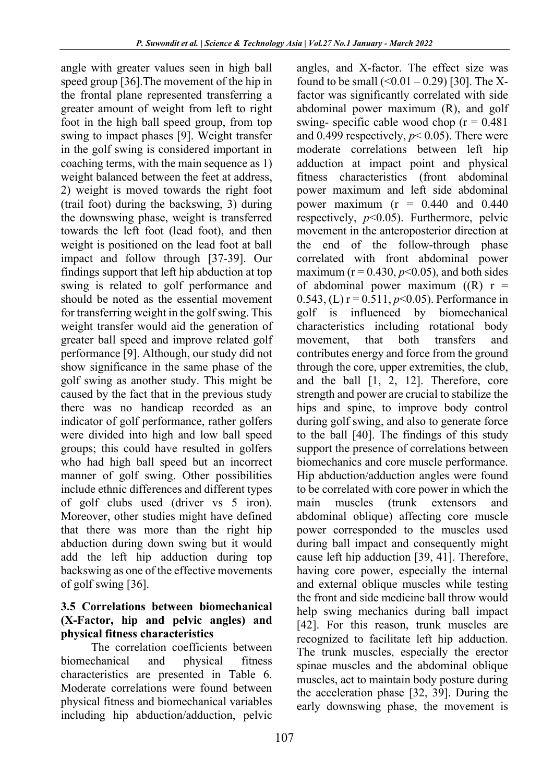angle with greater values seen in high ball speed group [36].The movement of the hip in the frontal plane represented transferring a greater amount of weight from left to right foot in the high ball speed group, from top swing to impact phases [9]. Weight transfer in the golf swing is considered important in coaching terms, with the main sequence as 1) weight balanced between the feet at address, 2) weight is moved towards the right foot (trail foot) during the backswing, 3) during the downswing phase, weight is transferred towards the left foot (lead foot), and then weight is positioned on the lead foot at ball impact and follow through [37-39]. Our findings support that left hip abduction at top swing is related to golf performance and should be noted as the essential movement for transferring weight in the golf swing. This weight transfer would aid the generation of greater ball speed and improve related golf performance [9]. Although, our study did not show significance in the same phase of the golf swing as another study. This might be caused by the fact that in the previous study there was no handicap recorded as an indicator of golf performance, rather golfers were divided into high and low ball speed groups; this could have resulted in golfers who had high ball speed but an incorrect manner of golf swing. Other possibilities include ethnic differences and different types of golf clubs used (driver vs 5 iron). Moreover, other studies might have defined that there was more than the right hip abduction during down swing but it would add the left hip adduction during top backswing as one of the effective movements of golf swing [36].

#### **3.5 Correlations between biomechanical (X-Factor, hip and pelvic angles) and physical fitness characteristics**

The correlation coefficients between biomechanical and physical fitness characteristics are presented in Table 6. Moderate correlations were found between physical fitness and biomechanical variables including hip abduction/adduction, pelvic

angles, and X-factor. The effect size was found to be small  $(<0.01 - 0.29)$  [30]. The Xfactor was significantly correlated with side abdominal power maximum (R), and golf swing- specific cable wood chop  $(r = 0.481)$ and 0.499 respectively,  $p < 0.05$ ). There were moderate correlations between left hip adduction at impact point and physical fitness characteristics (front abdominal power maximum and left side abdominal power maximum ( $r = 0.440$  and 0.440 respectively, *p*<0.05). Furthermore, pelvic movement in the anteroposterior direction at the end of the follow-through phase correlated with front abdominal power maximum ( $r = 0.430$ ,  $p < 0.05$ ), and both sides of abdominal power maximum  $((R)$  r = 0.543, (L) r = 0.511, *p*<0.05). Performance in golf is influenced by biomechanical characteristics including rotational body movement, that both transfers and contributes energy and force from the ground through the core, upper extremities, the club, and the ball [1, 2, 12]. Therefore, core strength and power are crucial to stabilize the hips and spine, to improve body control during golf swing, and also to generate force to the ball [40]. The findings of this study support the presence of correlations between biomechanics and core muscle performance. Hip abduction/adduction angles were found to be correlated with core power in which the main muscles (trunk extensors and abdominal oblique) affecting core muscle power corresponded to the muscles used during ball impact and consequently might cause left hip adduction [39, 41]. Therefore, having core power, especially the internal and external oblique muscles while testing the front and side medicine ball throw would help swing mechanics during ball impact [42]. For this reason, trunk muscles are recognized to facilitate left hip adduction. The trunk muscles, especially the erector spinae muscles and the abdominal oblique muscles, act to maintain body posture during the acceleration phase [32, 39]. During the early downswing phase, the movement is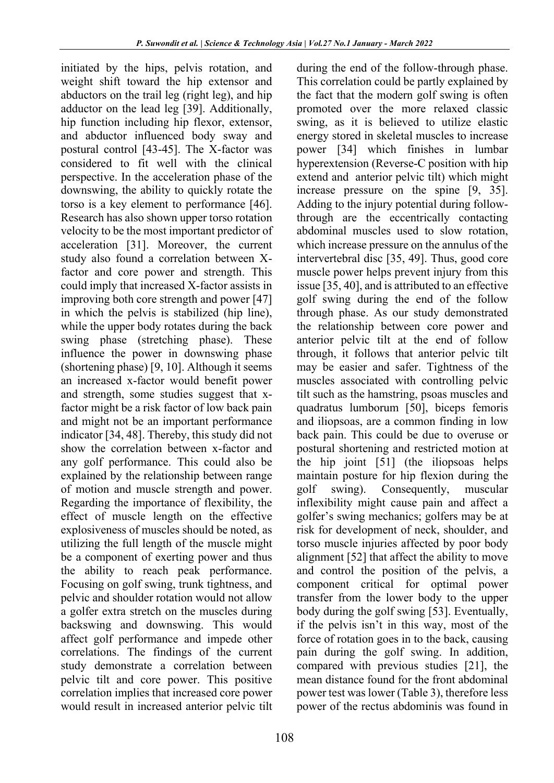initiated by the hips, pelvis rotation, and weight shift toward the hip extensor and abductors on the trail leg (right leg), and hip adductor on the lead leg [39]. Additionally, hip function including hip flexor, extensor, and abductor influenced body sway and postural control [43-45]. The X-factor was considered to fit well with the clinical perspective. In the acceleration phase of the downswing, the ability to quickly rotate the torso is a key element to performance [46]. Research has also shown upper torso rotation velocity to be the most important predictor of acceleration [31]. Moreover, the current study also found a correlation between Xfactor and core power and strength. This could imply that increased X-factor assists in improving both core strength and power [47] in which the pelvis is stabilized (hip line), while the upper body rotates during the back swing phase (stretching phase). These influence the power in downswing phase (shortening phase) [9, 10]. Although it seems an increased x-factor would benefit power and strength, some studies suggest that xfactor might be a risk factor of low back pain and might not be an important performance indicator [34, 48]. Thereby, this study did not show the correlation between x-factor and any golf performance. This could also be explained by the relationship between range of motion and muscle strength and power. Regarding the importance of flexibility, the effect of muscle length on the effective explosiveness of muscles should be noted, as utilizing the full length of the muscle might be a component of exerting power and thus the ability to reach peak performance. Focusing on golf swing, trunk tightness, and pelvic and shoulder rotation would not allow a golfer extra stretch on the muscles during backswing and downswing. This would affect golf performance and impede other correlations. The findings of the current study demonstrate a correlation between pelvic tilt and core power. This positive correlation implies that increased core power would result in increased anterior pelvic tilt

108

during the end of the follow-through phase. This correlation could be partly explained by the fact that the modern golf swing is often promoted over the more relaxed classic swing, as it is believed to utilize elastic energy stored in skeletal muscles to increase power [34] which finishes in lumbar hyperextension (Reverse-C position with hip extend and anterior pelvic tilt) which might increase pressure on the spine [9, 35]. Adding to the injury potential during followthrough are the eccentrically contacting abdominal muscles used to slow rotation, which increase pressure on the annulus of the intervertebral disc [35, 49]. Thus, good core muscle power helps prevent injury from this issue [35, 40], and is attributed to an effective golf swing during the end of the follow through phase. As our study demonstrated the relationship between core power and anterior pelvic tilt at the end of follow through, it follows that anterior pelvic tilt may be easier and safer. Tightness of the muscles associated with controlling pelvic tilt such as the hamstring, psoas muscles and quadratus lumborum [50], biceps femoris and iliopsoas, are a common finding in low back pain. This could be due to overuse or postural shortening and restricted motion at the hip joint [51] (the iliopsoas helps maintain posture for hip flexion during the golf swing). Consequently, muscular inflexibility might cause pain and affect a golfer's swing mechanics; golfers may be at risk for development of neck, shoulder, and torso muscle injuries affected by poor body alignment [52] that affect the ability to move and control the position of the pelvis, a component critical for optimal power transfer from the lower body to the upper body during the golf swing [53]. Eventually, if the pelvis isn't in this way, most of the force of rotation goes in to the back, causing pain during the golf swing. In addition, compared with previous studies [21], the mean distance found for the front abdominal power test was lower (Table 3), therefore less power of the rectus abdominis was found in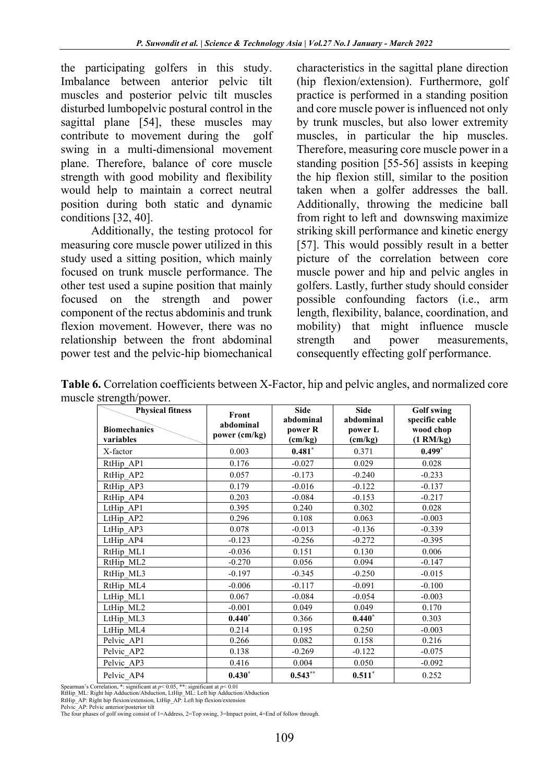the participating golfers in this study. Imbalance between anterior pelvic tilt muscles and posterior pelvic tilt muscles disturbed lumbopelvic postural control in the sagittal plane [54], these muscles may contribute to movement during the golf swing in a multi-dimensional movement plane. Therefore, balance of core muscle strength with good mobility and flexibility would help to maintain a correct neutral position during both static and dynamic conditions [32, 40].

Additionally, the testing protocol for measuring core muscle power utilized in this study used a sitting position, which mainly focused on trunk muscle performance. The other test used a supine position that mainly focused on the strength and power component of the rectus abdominis and trunk flexion movement. However, there was no relationship between the front abdominal power test and the pelvic-hip biomechanical

characteristics in the sagittal plane direction (hip flexion/extension). Furthermore, golf practice is performed in a standing position and core muscle power is influenced not only by trunk muscles, but also lower extremity muscles, in particular the hip muscles. Therefore, measuring core muscle power in a standing position [55-56] assists in keeping the hip flexion still, similar to the position taken when a golfer addresses the ball. Additionally, throwing the medicine ball from right to left and downswing maximize striking skill performance and kinetic energy [57]. This would possibly result in a better picture of the correlation between core muscle power and hip and pelvic angles in golfers. Lastly, further study should consider possible confounding factors (i.e., arm length, flexibility, balance, coordination, and mobility) that might influence muscle strength and power measurements, consequently effecting golf performance.

**Table 6.** Correlation coefficients between X-Factor, hip and pelvic angles, and normalized core muscle strength/power.

| suchgur power.<br><b>Physical fitness</b><br><b>Biomechanics</b><br>variables | Front<br>abdominal<br>power (cm/kg) | <b>Side</b><br>abdominal<br>power R<br>(cm/kg) | <b>Side</b><br>abdominal<br>power L<br>(cm/kg) | <b>Golf swing</b><br>specific cable<br>wood chop<br>$(1 \text{ RM/kg})$ |
|-------------------------------------------------------------------------------|-------------------------------------|------------------------------------------------|------------------------------------------------|-------------------------------------------------------------------------|
| X-factor                                                                      | 0.003                               | $0.481*$                                       | 0.371                                          | $0.499*$                                                                |
| RtHip AP1                                                                     | 0.176                               | $-0.027$                                       | 0.029                                          | 0.028                                                                   |
| RtHip AP2                                                                     | 0.057                               | $-0.173$                                       | $-0.240$                                       | $-0.233$                                                                |
| RtHip AP3                                                                     | 0.179                               | $-0.016$                                       | $-0.122$                                       | $-0.137$                                                                |
| RtHip AP4                                                                     | 0.203                               | $-0.084$                                       | $-0.153$                                       | $-0.217$                                                                |
| LtHip AP1                                                                     | 0.395                               | 0.240                                          | 0.302                                          | 0.028                                                                   |
| LtHip AP2                                                                     | 0.296                               | 0.108                                          | 0.063                                          | $-0.003$                                                                |
| LtHip AP3                                                                     | 0.078                               | $-0.013$                                       | $-0.136$                                       | $-0.339$                                                                |
| LtHip AP4                                                                     | $-0.123$                            | $-0.256$                                       | $-0.272$                                       | $-0.395$                                                                |
| RtHip ML1                                                                     | $-0.036$                            | 0.151                                          | 0.130                                          | 0.006                                                                   |
| RtHip ML2                                                                     | $-0.270$                            | 0.056                                          | 0.094                                          | $-0.147$                                                                |
| RtHip ML3                                                                     | $-0.197$                            | $-0.345$                                       | $-0.250$                                       | $-0.015$                                                                |
| RtHip ML4                                                                     | $-0.006$                            | $-0.117$                                       | $-0.091$                                       | $-0.100$                                                                |
| LtHip ML1                                                                     | 0.067                               | $-0.084$                                       | $-0.054$                                       | $-0.003$                                                                |
| LtHip ML2                                                                     | $-0.001$                            | 0.049                                          | 0.049                                          | 0.170                                                                   |
| LtHip ML3                                                                     | $0.440*$                            | 0.366                                          | $0.440*$                                       | 0.303                                                                   |
| LtHip ML4                                                                     | 0.214                               | 0.195                                          | 0.250                                          | $-0.003$                                                                |
| Pelvic AP1                                                                    | 0.266                               | 0.082                                          | 0.158                                          | 0.216                                                                   |
| Pelvic AP2                                                                    | 0.138                               | $-0.269$                                       | $-0.122$                                       | $-0.075$                                                                |
| Pelvic AP3                                                                    | 0.416                               | 0.004                                          | 0.050                                          | $-0.092$                                                                |
| Pelvic AP4                                                                    | $0.430*$                            | $0.543***$                                     | $0.511*$                                       | 0.252                                                                   |

Spearman's Correlation, \*: significant at *p*< 0.05, \*\*: significant at *p*< 0.01

RtHip\_ML: Right hip Adduction/Abduction, LtHip\_ML: Left hip Adduction/Abduction

RtHip\_AP: Right hip flexion/extension, LtHip\_AP: Left hip flexion/extension Pelvic\_AP: Pelvic anterior/posterior tilt

The four phases of golf swing consist of 1=Address, 2=Top swing, 3=Impact point, 4=End of follow through.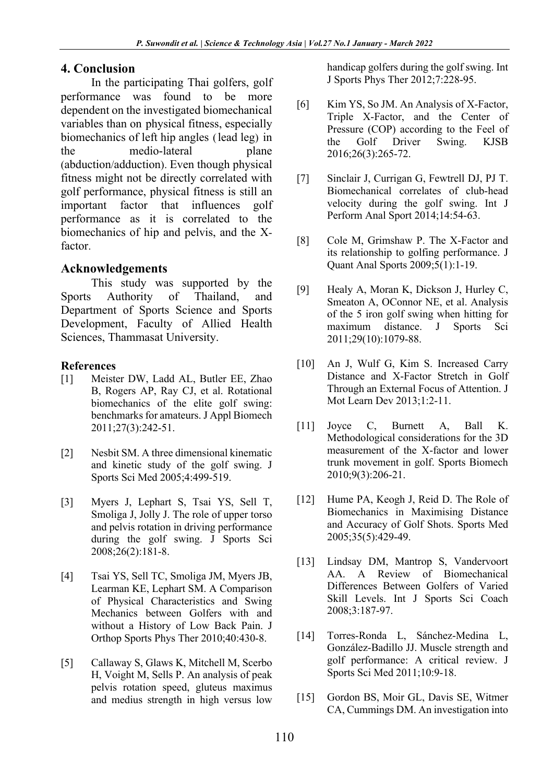#### **4. Conclusion**

In the participating Thai golfers, golf performance was found to be more dependent on the investigated biomechanical variables than on physical fitness, especially biomechanics of left hip angles (lead leg) in the medio-lateral plane (abduction/adduction). Even though physical fitness might not be directly correlated with golf performance, physical fitness is still an important factor that influences golf performance as it is correlated to the biomechanics of hip and pelvis, and the Xfactor.

#### **Acknowledgements**

This study was supported by the Sports Authority of Thailand, and Department of Sports Science and Sports Development, Faculty of Allied Health Sciences, Thammasat University.

#### **References**

- [1] Meister DW, Ladd AL, Butler EE, Zhao B, Rogers AP, Ray CJ, et al. Rotational biomechanics of the elite golf swing: benchmarks for amateurs. J Appl Biomech 2011;27(3):242-51.
- [2] Nesbit SM. A three dimensional kinematic and kinetic study of the golf swing. J Sports Sci Med 2005;4:499-519.
- [3] Myers J, Lephart S, Tsai YS, Sell T, Smoliga J, Jolly J. The role of upper torso and pelvis rotation in driving performance during the golf swing. J Sports Sci 2008;26(2):181-8.
- [4] Tsai YS, Sell TC, Smoliga JM, Myers JB, Learman KE, Lephart SM. A Comparison of Physical Characteristics and Swing Mechanics between Golfers with and without a History of Low Back Pain. J Orthop Sports Phys Ther 2010;40:430-8.
- [5] Callaway S, Glaws K, Mitchell M, Scerbo H, Voight M, Sells P. An analysis of peak pelvis rotation speed, gluteus maximus and medius strength in high versus low

handicap golfers during the golf swing. Int J Sports Phys Ther 2012;7:228-95.

- [6] Kim YS, So JM. An Analysis of X-Factor, Triple X-Factor, and the Center of Pressure (COP) according to the Feel of the Golf Driver Swing. KJSB 2016;26(3):265-72.
- [7] Sinclair J, Currigan G, Fewtrell DJ, PJ T. Biomechanical correlates of club-head velocity during the golf swing. Int J Perform Anal Sport 2014;14:54-63.
- [8] Cole M, Grimshaw P. The X-Factor and its relationship to golfing performance. J Quant Anal Sports 2009;5(1):1-19.
- [9] Healy A, Moran K, Dickson J, Hurley C, Smeaton A, OConnor NE, et al. Analysis of the 5 iron golf swing when hitting for maximum distance. J Sports Sci 2011;29(10):1079-88.
- [10] An J, Wulf G, Kim S. Increased Carry Distance and X-Factor Stretch in Golf Through an External Focus of Attention. J Mot Learn Dev 2013;1:2-11.
- [11] Joyce C, Burnett A, Ball K. Methodological considerations for the 3D measurement of the X-factor and lower trunk movement in golf. Sports Biomech 2010;9(3):206-21.
- [12] Hume PA, Keogh J, Reid D. The Role of Biomechanics in Maximising Distance and Accuracy of Golf Shots. Sports Med 2005;35(5):429-49.
- [13] Lindsay DM, Mantrop S, Vandervoort AA. A Review of Biomechanical Differences Between Golfers of Varied Skill Levels. Int J Sports Sci Coach 2008;3:187-97.
- [14] Torres-Ronda L, Sánchez-Medina L, González-Badillo JJ. Muscle strength and golf performance: A critical review. J Sports Sci Med 2011;10:9-18.
- [15] Gordon BS, Moir GL, Davis SE, Witmer CA, Cummings DM. An investigation into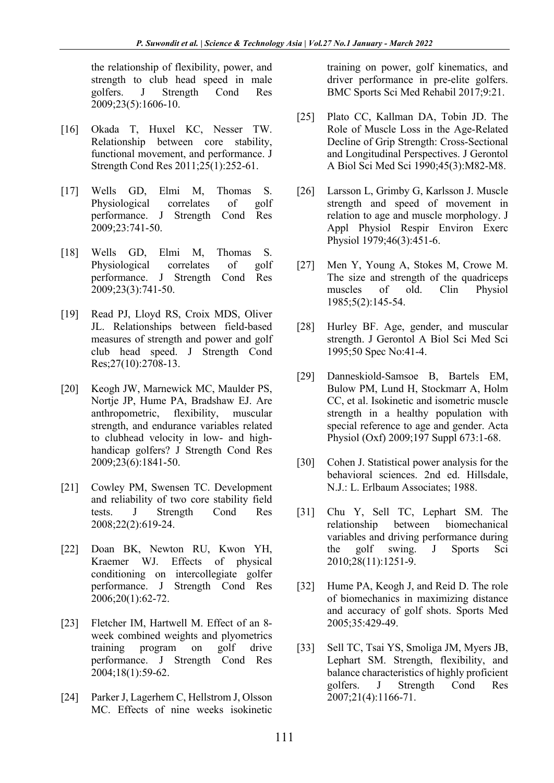the relationship of flexibility, power, and strength to club head speed in male golfers. J Strength Cond Res 2009;23(5):1606-10.

- [16] Okada T, Huxel KC, Nesser TW. Relationship between core stability, functional movement, and performance. J Strength Cond Res 2011;25(1):252-61.
- [17] Wells GD, Elmi M, Thomas S. Physiological correlates of golf performance. J Strength Cond Res 2009;23:741-50.
- [18] Wells GD, Elmi M, Thomas S. Physiological correlates of golf performance. J Strength Cond Res 2009;23(3):741-50.
- [19] Read PJ, Lloyd RS, Croix MDS, Oliver JL. Relationships between field-based measures of strength and power and golf club head speed. J Strength Cond Res;27(10):2708-13.
- [20] Keogh JW, Marnewick MC, Maulder PS, Nortje JP, Hume PA, Bradshaw EJ. Are anthropometric, flexibility, muscular strength, and endurance variables related to clubhead velocity in low- and highhandicap golfers? J Strength Cond Res 2009;23(6):1841-50.
- [21] Cowley PM, Swensen TC. Development and reliability of two core stability field tests. J Strength Cond Res 2008;22(2):619-24.
- [22] Doan BK, Newton RU, Kwon YH, Kraemer WJ. Effects of physical conditioning on intercollegiate golfer performance. J Strength Cond Res 2006;20(1):62-72.
- [23] Fletcher IM, Hartwell M. Effect of an 8week combined weights and plyometrics training program on golf drive performance. J Strength Cond Res 2004;18(1):59-62.
- [24] Parker J, Lagerhem C, Hellstrom J, Olsson MC. Effects of nine weeks isokinetic

training on power, golf kinematics, and driver performance in pre-elite golfers. BMC Sports Sci Med Rehabil 2017;9:21.

- [25] Plato CC, Kallman DA, Tobin JD. The Role of Muscle Loss in the Age-Related Decline of Grip Strength: Cross-Sectional and Longitudinal Perspectives. J Gerontol A Biol Sci Med Sci 1990;45(3):M82-M8.
- [26] Larsson L, Grimby G, Karlsson J. Muscle strength and speed of movement in relation to age and muscle morphology. J Appl Physiol Respir Environ Exerc Physiol 1979;46(3):451-6.
- [27] Men Y, Young A, Stokes M, Crowe M. The size and strength of the quadriceps muscles of old. Clin Physiol 1985;5(2):145-54.
- [28] Hurley BF. Age, gender, and muscular strength. J Gerontol A Biol Sci Med Sci 1995;50 Spec No:41-4.
- [29] Danneskiold-Samsoe B, Bartels EM, Bulow PM, Lund H, Stockmarr A, Holm CC, et al. Isokinetic and isometric muscle strength in a healthy population with special reference to age and gender. Acta Physiol (Oxf) 2009;197 Suppl 673:1-68.
- [30] Cohen J. Statistical power analysis for the behavioral sciences. 2nd ed. Hillsdale, N.J.: L. Erlbaum Associates; 1988.
- [31] Chu Y, Sell TC, Lephart SM. The relationship between biomechanical variables and driving performance during the golf swing. J Sports Sci 2010;28(11):1251-9.
- [32] Hume PA, Keogh J, and Reid D. The role of biomechanics in maximizing distance and accuracy of golf shots. Sports Med 2005;35:429-49.
- [33] Sell TC, Tsai YS, Smoliga JM, Myers JB, Lephart SM. Strength, flexibility, and balance characteristics of highly proficient golfers. J Strength Cond Res 2007;21(4):1166-71.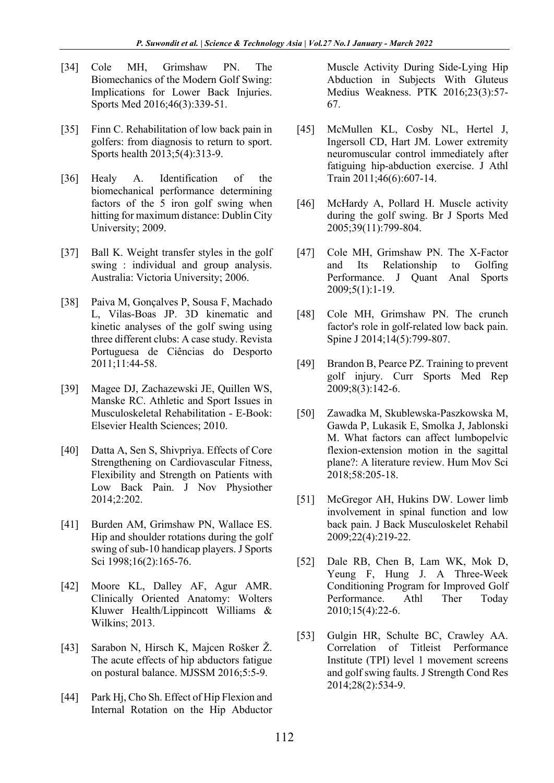- [34] Cole MH, Grimshaw PN. The Biomechanics of the Modern Golf Swing: Implications for Lower Back Injuries. Sports Med 2016;46(3):339-51.
- [35] Finn C. Rehabilitation of low back pain in golfers: from diagnosis to return to sport. Sports health 2013;5(4):313-9.
- [36] Healy A. Identification of the biomechanical performance determining factors of the 5 iron golf swing when hitting for maximum distance: Dublin City University; 2009.
- [37] Ball K. Weight transfer styles in the golf swing : individual and group analysis. Australia: Victoria University; 2006.
- [38] Paiva M, Gonçalves P, Sousa F, Machado L, Vilas-Boas JP. 3D kinematic and kinetic analyses of the golf swing using three different clubs: A case study. Revista Portuguesa de Ciências do Desporto 2011;11:44-58.
- [39] Magee DJ, Zachazewski JE, Quillen WS, Manske RC. Athletic and Sport Issues in Musculoskeletal Rehabilitation - E-Book: Elsevier Health Sciences; 2010.
- [40] Datta A, Sen S, Shivpriya. Effects of Core Strengthening on Cardiovascular Fitness, Flexibility and Strength on Patients with Low Back Pain. J Nov Physiother 2014;2:202.
- [41] Burden AM, Grimshaw PN, Wallace ES. Hip and shoulder rotations during the golf swing of sub-10 handicap players. J Sports Sci 1998;16(2):165-76.
- [42] Moore KL, Dalley AF, Agur AMR. Clinically Oriented Anatomy: Wolters Kluwer Health/Lippincott Williams & Wilkins; 2013.
- [43] Sarabon N, Hirsch K, Majcen Rošker Ž. The acute effects of hip abductors fatigue on postural balance. MJSSM 2016;5:5-9.
- [44] Park Hj, Cho Sh. Effect of Hip Flexion and Internal Rotation on the Hip Abductor

Muscle Activity During Side-Lying Hip Abduction in Subjects With Gluteus Medius Weakness. PTK 2016;23(3):57- 67.

- [45] McMullen KL, Cosby NL, Hertel J, Ingersoll CD, Hart JM. Lower extremity neuromuscular control immediately after fatiguing hip-abduction exercise. J Athl Train 2011;46(6):607-14.
- [46] McHardy A, Pollard H. Muscle activity during the golf swing. Br J Sports Med 2005;39(11):799-804.
- [47] Cole MH, Grimshaw PN. The X-Factor and Its Relationship to Golfing Performance. J Quant Anal Sports 2009;5(1):1-19.
- [48] Cole MH, Grimshaw PN. The crunch factor's role in golf-related low back pain. Spine J 2014;14(5):799-807.
- [49] Brandon B, Pearce PZ. Training to prevent golf injury. Curr Sports Med Rep 2009;8(3):142-6.
- [50] Zawadka M, Skublewska-Paszkowska M, Gawda P, Lukasik E, Smolka J, Jablonski M. What factors can affect lumbopelvic flexion-extension motion in the sagittal plane?: A literature review. Hum Mov Sci 2018;58:205-18.
- [51] McGregor AH, Hukins DW. Lower limb involvement in spinal function and low back pain. J Back Musculoskelet Rehabil 2009;22(4):219-22.
- [52] Dale RB, Chen B, Lam WK, Mok D, Yeung F, Hung J. A Three-Week Conditioning Program for Improved Golf Performance. Athl Ther Today 2010;15(4):22-6.
- [53] Gulgin HR, Schulte BC, Crawley AA. Correlation of Titleist Performance Institute (TPI) level 1 movement screens and golf swing faults. J Strength Cond Res 2014;28(2):534-9.